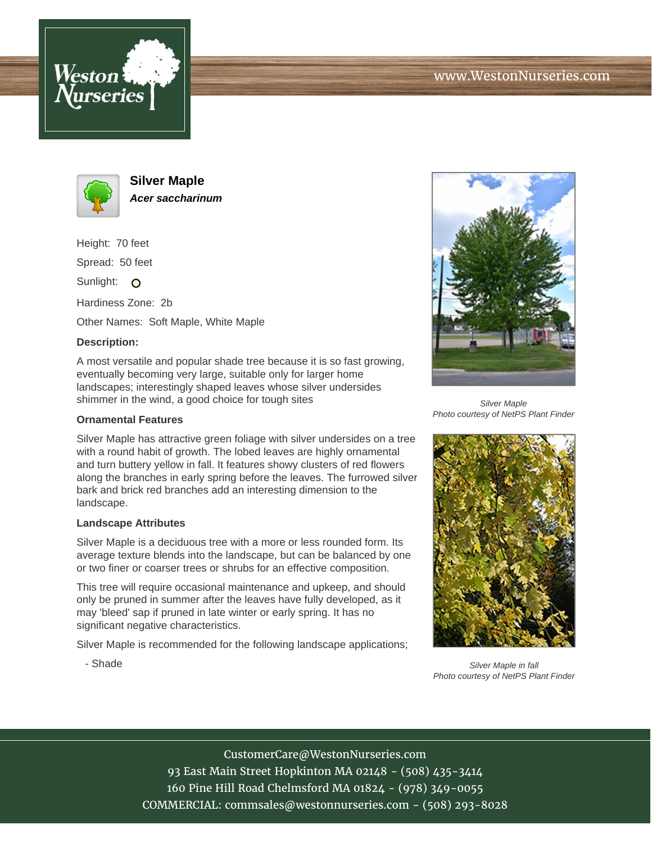





**Silver Maple Acer saccharinum**

Height: 70 feet

Spread: 50 feet

Sunlight: O

Hardiness Zone: 2b

Other Names: Soft Maple, White Maple

## **Description:**

A most versatile and popular shade tree because it is so fast growing, eventually becoming very large, suitable only for larger home landscapes; interestingly shaped leaves whose silver undersides shimmer in the wind, a good choice for tough sites

## **Ornamental Features**

Silver Maple has attractive green foliage with silver undersides on a tree with a round habit of growth. The lobed leaves are highly ornamental and turn buttery yellow in fall. It features showy clusters of red flowers along the branches in early spring before the leaves. The furrowed silver bark and brick red branches add an interesting dimension to the landscape.

## **Landscape Attributes**

- Shade

Silver Maple is a deciduous tree with a more or less rounded form. Its average texture blends into the landscape, but can be balanced by one or two finer or coarser trees or shrubs for an effective composition.

This tree will require occasional maintenance and upkeep, and should only be pruned in summer after the leaves have fully developed, as it may 'bleed' sap if pruned in late winter or early spring. It has no significant negative characteristics.

Silver Maple is recommended for the following landscape applications;



Silver Maple Photo courtesy of NetPS Plant Finder



Silver Maple in fall Photo courtesy of NetPS Plant Finder

CustomerCare@WestonNurseries.com 93 East Main Street Hopkinton MA 02148 - (508) 435-3414 160 Pine Hill Road Chelmsford MA 01824 - (978) 349-0055 COMMERCIAL: commsales@westonnurseries.com - (508) 293-8028